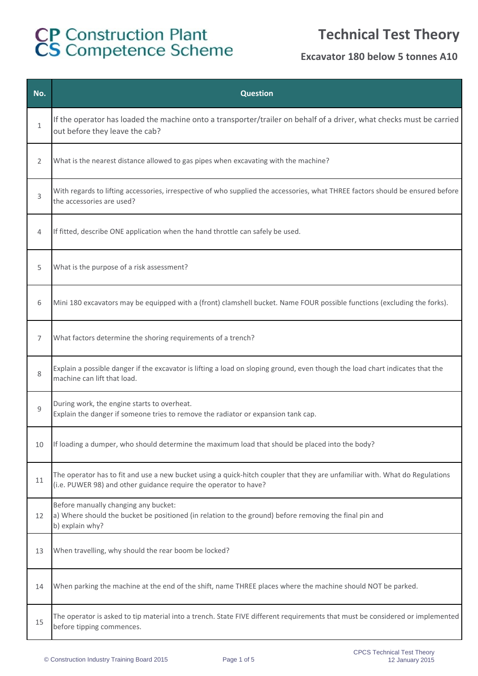### **Technical Test Theory**

| No.          | <b>Question</b>                                                                                                                                                                                 |
|--------------|-------------------------------------------------------------------------------------------------------------------------------------------------------------------------------------------------|
| $\mathbf{1}$ | If the operator has loaded the machine onto a transporter/trailer on behalf of a driver, what checks must be carried<br>out before they leave the cab?                                          |
| 2            | What is the nearest distance allowed to gas pipes when excavating with the machine?                                                                                                             |
| 3            | With regards to lifting accessories, irrespective of who supplied the accessories, what THREE factors should be ensured before<br>the accessories are used?                                     |
| 4            | If fitted, describe ONE application when the hand throttle can safely be used.                                                                                                                  |
| 5            | What is the purpose of a risk assessment?                                                                                                                                                       |
| 6            | Mini 180 excavators may be equipped with a (front) clamshell bucket. Name FOUR possible functions (excluding the forks).                                                                        |
| 7            | What factors determine the shoring requirements of a trench?                                                                                                                                    |
| 8            | Explain a possible danger if the excavator is lifting a load on sloping ground, even though the load chart indicates that the<br>machine can lift that load.                                    |
| 9            | During work, the engine starts to overheat.<br>Explain the danger if someone tries to remove the radiator or expansion tank cap.                                                                |
| 10           | If loading a dumper, who should determine the maximum load that should be placed into the body?                                                                                                 |
| 11           | The operator has to fit and use a new bucket using a quick-hitch coupler that they are unfamiliar with. What do Regulations<br>(i.e. PUWER 98) and other guidance require the operator to have? |
| 12           | Before manually changing any bucket:<br>a) Where should the bucket be positioned (in relation to the ground) before removing the final pin and<br>b) explain why?                               |
| 13           | When travelling, why should the rear boom be locked?                                                                                                                                            |
| 14           | When parking the machine at the end of the shift, name THREE places where the machine should NOT be parked.                                                                                     |
| 15           | The operator is asked to tip material into a trench. State FIVE different requirements that must be considered or implemented<br>before tipping commences.                                      |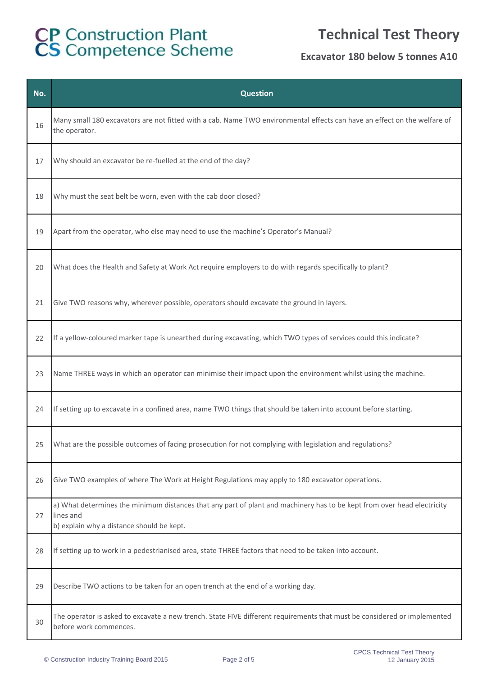## **Technical Test Theory**

| No. | <b>Question</b>                                                                                                                                                                   |
|-----|-----------------------------------------------------------------------------------------------------------------------------------------------------------------------------------|
| 16  | Many small 180 excavators are not fitted with a cab. Name TWO environmental effects can have an effect on the welfare of<br>the operator.                                         |
| 17  | Why should an excavator be re-fuelled at the end of the day?                                                                                                                      |
| 18  | Why must the seat belt be worn, even with the cab door closed?                                                                                                                    |
| 19  | Apart from the operator, who else may need to use the machine's Operator's Manual?                                                                                                |
| 20  | What does the Health and Safety at Work Act require employers to do with regards specifically to plant?                                                                           |
| 21  | Give TWO reasons why, wherever possible, operators should excavate the ground in layers.                                                                                          |
| 22  | If a yellow-coloured marker tape is unearthed during excavating, which TWO types of services could this indicate?                                                                 |
| 23  | Name THREE ways in which an operator can minimise their impact upon the environment whilst using the machine.                                                                     |
| 24  | If setting up to excavate in a confined area, name TWO things that should be taken into account before starting.                                                                  |
| 25  | What are the possible outcomes of facing prosecution for not complying with legislation and regulations?                                                                          |
| 26  | Give TWO examples of where The Work at Height Regulations may apply to 180 excavator operations.                                                                                  |
| 27  | a) What determines the minimum distances that any part of plant and machinery has to be kept from over head electricity<br>lines and<br>b) explain why a distance should be kept. |
| 28  | If setting up to work in a pedestrianised area, state THREE factors that need to be taken into account.                                                                           |
| 29  | Describe TWO actions to be taken for an open trench at the end of a working day.                                                                                                  |
| 30  | The operator is asked to excavate a new trench. State FIVE different requirements that must be considered or implemented<br>before work commences.                                |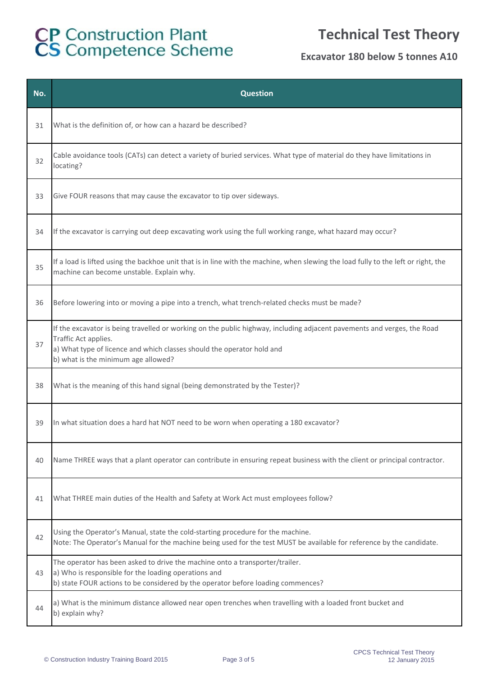## **Technical Test Theory**

| No. | <b>Question</b>                                                                                                                                                                                                                                                  |
|-----|------------------------------------------------------------------------------------------------------------------------------------------------------------------------------------------------------------------------------------------------------------------|
| 31  | What is the definition of, or how can a hazard be described?                                                                                                                                                                                                     |
| 32  | Cable avoidance tools (CATs) can detect a variety of buried services. What type of material do they have limitations in<br>locating?                                                                                                                             |
| 33  | Give FOUR reasons that may cause the excavator to tip over sideways.                                                                                                                                                                                             |
| 34  | If the excavator is carrying out deep excavating work using the full working range, what hazard may occur?                                                                                                                                                       |
| 35  | If a load is lifted using the backhoe unit that is in line with the machine, when slewing the load fully to the left or right, the<br>machine can become unstable. Explain why.                                                                                  |
| 36  | Before lowering into or moving a pipe into a trench, what trench-related checks must be made?                                                                                                                                                                    |
| 37  | If the excavator is being travelled or working on the public highway, including adjacent pavements and verges, the Road<br>Traffic Act applies.<br>a) What type of licence and which classes should the operator hold and<br>b) what is the minimum age allowed? |
| 38  | What is the meaning of this hand signal (being demonstrated by the Tester)?                                                                                                                                                                                      |
| 39  | In what situation does a hard hat NOT need to be worn when operating a 180 excavator?                                                                                                                                                                            |
| 40  | Name THREE ways that a plant operator can contribute in ensuring repeat business with the client or principal contractor.                                                                                                                                        |
| 41  | What THREE main duties of the Health and Safety at Work Act must employees follow?                                                                                                                                                                               |
| 42  | Using the Operator's Manual, state the cold-starting procedure for the machine.<br>Note: The Operator's Manual for the machine being used for the test MUST be available for reference by the candidate.                                                         |
| 43  | The operator has been asked to drive the machine onto a transporter/trailer.<br>a) Who is responsible for the loading operations and<br>b) state FOUR actions to be considered by the operator before loading commences?                                         |
| 44  | a) What is the minimum distance allowed near open trenches when travelling with a loaded front bucket and<br>b) explain why?                                                                                                                                     |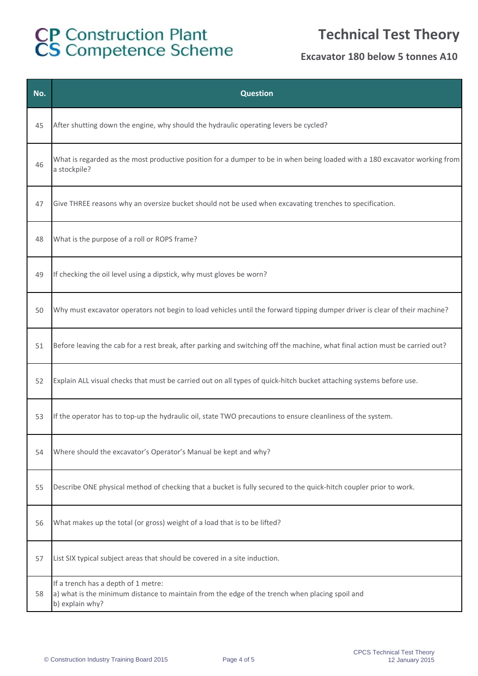## **Technical Test Theory**

| No. | <b>Question</b>                                                                                                                                          |
|-----|----------------------------------------------------------------------------------------------------------------------------------------------------------|
| 45  | After shutting down the engine, why should the hydraulic operating levers be cycled?                                                                     |
| 46  | What is regarded as the most productive position for a dumper to be in when being loaded with a 180 excavator working from<br>a stockpile?               |
| 47  | Give THREE reasons why an oversize bucket should not be used when excavating trenches to specification.                                                  |
| 48  | What is the purpose of a roll or ROPS frame?                                                                                                             |
| 49  | If checking the oil level using a dipstick, why must gloves be worn?                                                                                     |
| 50  | Why must excavator operators not begin to load vehicles until the forward tipping dumper driver is clear of their machine?                               |
| 51  | Before leaving the cab for a rest break, after parking and switching off the machine, what final action must be carried out?                             |
| 52  | Explain ALL visual checks that must be carried out on all types of quick-hitch bucket attaching systems before use.                                      |
| 53  | If the operator has to top-up the hydraulic oil, state TWO precautions to ensure cleanliness of the system.                                              |
| 54  | Where should the excavator's Operator's Manual be kept and why?                                                                                          |
| 55  | Describe ONE physical method of checking that a bucket is fully secured to the quick-hitch coupler prior to work.                                        |
| 56  | What makes up the total (or gross) weight of a load that is to be lifted?                                                                                |
| 57  | List SIX typical subject areas that should be covered in a site induction.                                                                               |
| 58  | If a trench has a depth of 1 metre:<br>a) what is the minimum distance to maintain from the edge of the trench when placing spoil and<br>b) explain why? |